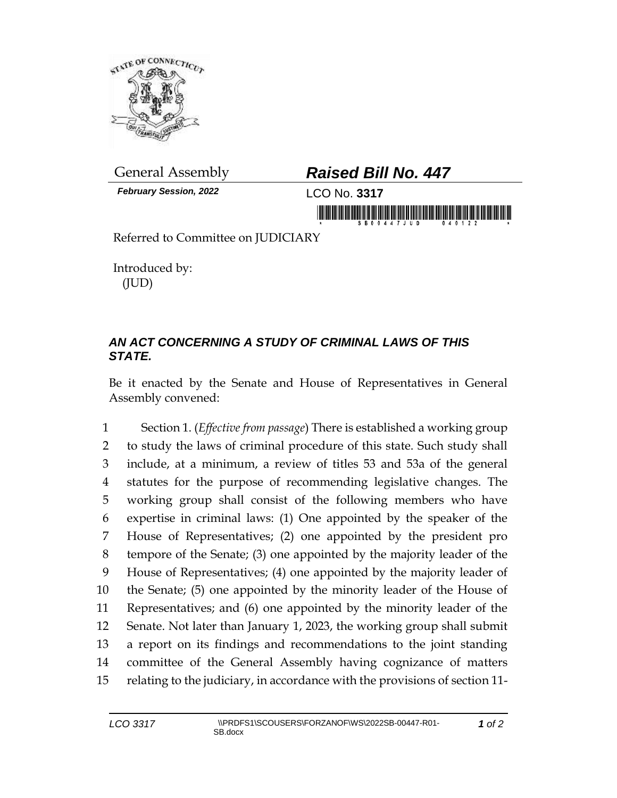

*February Session, 2022* LCO No. **3317**

## General Assembly *Raised Bill No. 447*

in morning is in his indicated and in his is a morning

Referred to Committee on JUDICIARY

Introduced by: (JUD)

## *AN ACT CONCERNING A STUDY OF CRIMINAL LAWS OF THIS STATE.*

Be it enacted by the Senate and House of Representatives in General Assembly convened:

 Section 1. (*Effective from passage*) There is established a working group to study the laws of criminal procedure of this state. Such study shall include, at a minimum, a review of titles 53 and 53a of the general statutes for the purpose of recommending legislative changes. The working group shall consist of the following members who have expertise in criminal laws: (1) One appointed by the speaker of the House of Representatives; (2) one appointed by the president pro tempore of the Senate; (3) one appointed by the majority leader of the House of Representatives; (4) one appointed by the majority leader of the Senate; (5) one appointed by the minority leader of the House of Representatives; and (6) one appointed by the minority leader of the Senate. Not later than January 1, 2023, the working group shall submit a report on its findings and recommendations to the joint standing committee of the General Assembly having cognizance of matters relating to the judiciary, in accordance with the provisions of section 11-

*1 of 2*